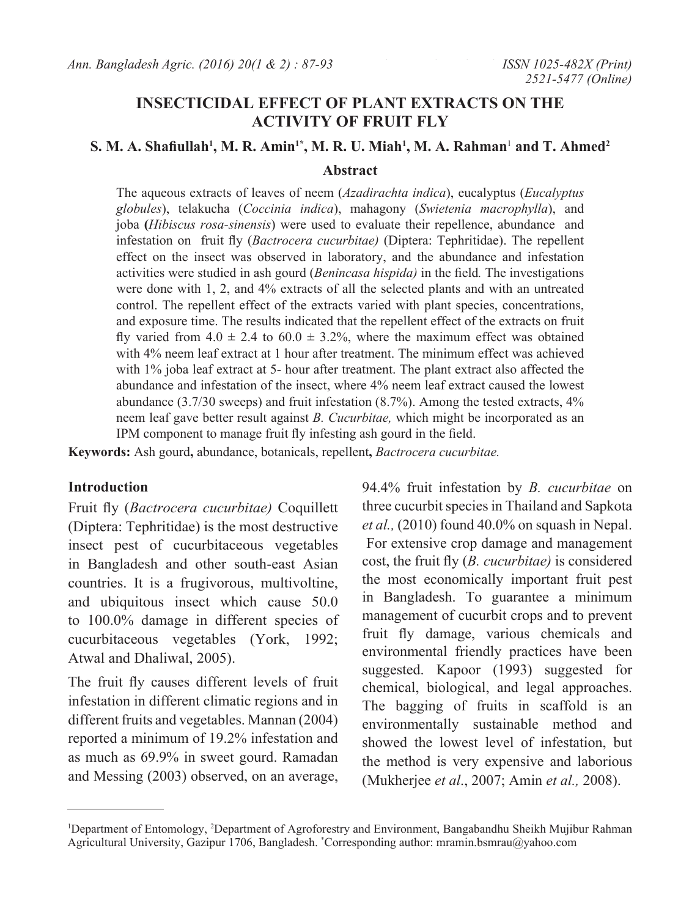# **INSECTICIDAL EFFECT OF PLANT EXTRACTS ON THE ACTIVITY OF FRUIT FLY**

## **S. M. A. Shafiullah<sup>1</sup> , M. R. Amin1\*, M. R. U. Miah1 , M. A. Rahman**<sup>1</sup>  **and T. Ahmed2**

#### **Abstract**

The aqueous extracts of leaves of neem (*Azadirachta indica*), eucalyptus (*Eucalyptus globules*), telakucha (*Coccinia indica*), mahagony (*Swietenia macrophylla*), and joba **(***Hibiscus rosa-sinensis*) were used to evaluate their repellence, abundance and infestation on fruit fly (*Bactrocera cucurbitae)* (Diptera: Tephritidae). The repellent effect on the insect was observed in laboratory, and the abundance and infestation activities were studied in ash gourd (*Benincasa hispida)* in the field*.* The investigations were done with 1, 2, and 4% extracts of all the selected plants and with an untreated control. The repellent effect of the extracts varied with plant species, concentrations, and exposure time. The results indicated that the repellent effect of the extracts on fruit fly varied from  $4.0 \pm 2.4$  to  $60.0 \pm 3.2$ %, where the maximum effect was obtained with 4% neem leaf extract at 1 hour after treatment. The minimum effect was achieved with 1% joba leaf extract at 5- hour after treatment. The plant extract also affected the abundance and infestation of the insect, where 4% neem leaf extract caused the lowest abundance (3.7/30 sweeps) and fruit infestation (8.7%). Among the tested extracts, 4% neem leaf gave better result against *B. Cucurbitae,* which might be incorporated as an IPM component to manage fruit fly infesting ash gourd in the field.

**Keywords:** Ash gourd**,** abundance, botanicals, repellent**,** *Bactrocera cucurbitae.*

#### **Introduction**

Fruit fly (*Bactrocera cucurbitae)* Coquillett (Diptera: Tephritidae) is the most destructive insect pest of cucurbitaceous vegetables in Bangladesh and other south-east Asian countries. It is a frugivorous, multivoltine, and ubiquitous insect which cause 50.0 to 100.0% damage in different species of cucurbitaceous vegetables (York, 1992; Atwal and Dhaliwal, 2005).

The fruit fly causes different levels of fruit infestation in different climatic regions and in different fruits and vegetables. Mannan (2004) reported a minimum of 19.2% infestation and as much as 69.9% in sweet gourd. Ramadan and Messing (2003) observed, on an average,

94.4% fruit infestation by *B. cucurbitae* on three cucurbit species in Thailand and Sapkota *et al.,* (2010) found 40.0% on squash in Nepal. For extensive crop damage and management cost, the fruit fly (*B. cucurbitae)* is considered the most economically important fruit pest in Bangladesh. To guarantee a minimum management of cucurbit crops and to prevent fruit fly damage, various chemicals and environmental friendly practices have been suggested. Kapoor (1993) suggested for chemical, biological, and legal approaches. The bagging of fruits in scaffold is an environmentally sustainable method and showed the lowest level of infestation, but the method is very expensive and laborious (Mukherjee *et al*., 2007; Amin *et al.,* 2008).

<sup>&</sup>lt;sup>1</sup>Department of Entomology, <sup>2</sup>Department of Agroforestry and Environment, Bangabandhu Sheikh Mujibur Rahman Agricultural University, Gazipur 1706, Bangladesh. \* Corresponding author: mramin.bsmrau@yahoo.com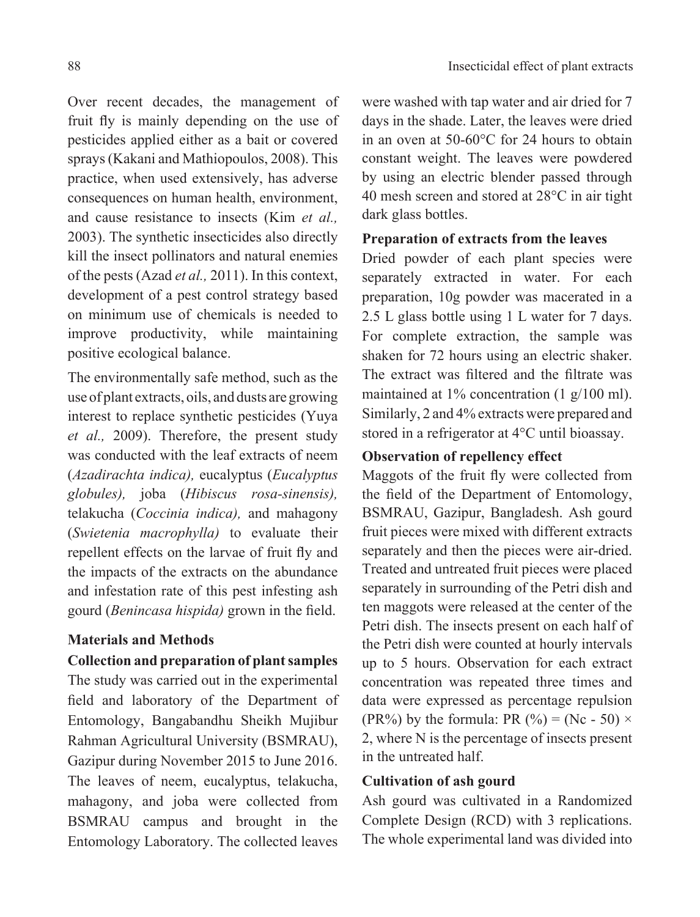Over recent decades, the management of fruit fly is mainly depending on the use of pesticides applied either as a bait or covered sprays (Kakani and Mathiopoulos, 2008). This practice, when used extensively, has adverse consequences on human health, environment, and cause resistance to insects (Kim *et al.,* 2003). The synthetic insecticides also directly kill the insect pollinators and natural enemies of the pests (Azad *et al.,* 2011). In this context, development of a pest control strategy based on minimum use of chemicals is needed to improve productivity, while maintaining positive ecological balance.

The environmentally safe method, such as the use of plant extracts, oils, and dusts are growing interest to replace synthetic pesticides (Yuya *et al.,* 2009). Therefore, the present study was conducted with the leaf extracts of neem (*Azadirachta indica),* eucalyptus (*Eucalyptus globules),* joba (*Hibiscus rosa-sinensis),*  telakucha (*Coccinia indica),* and mahagony (*Swietenia macrophylla)* to evaluate their repellent effects on the larvae of fruit fly and the impacts of the extracts on the abundance and infestation rate of this pest infesting ash gourd (*Benincasa hispida)* grown in the field.

### **Materials and Methods**

#### **Collection and preparation of plant samples**

The study was carried out in the experimental field and laboratory of the Department of Entomology, Bangabandhu Sheikh Mujibur Rahman Agricultural University (BSMRAU), Gazipur during November 2015 to June 2016. The leaves of neem, eucalyptus, telakucha, mahagony, and joba were collected from BSMRAU campus and brought in the Entomology Laboratory. The collected leaves

were washed with tap water and air dried for 7 days in the shade. Later, the leaves were dried in an oven at 50-60°C for 24 hours to obtain constant weight. The leaves were powdered by using an electric blender passed through 40 mesh screen and stored at 28°C in air tight dark glass bottles.

## **Preparation of extracts from the leaves**

Dried powder of each plant species were separately extracted in water. For each preparation, 10g powder was macerated in a 2.5 L glass bottle using 1 L water for 7 days. For complete extraction, the sample was shaken for 72 hours using an electric shaker. The extract was filtered and the filtrate was maintained at 1% concentration (1 g/100 ml). Similarly, 2 and 4% extracts were prepared and stored in a refrigerator at 4°C until bioassay.

## **Observation of repellency effect**

Maggots of the fruit fly were collected from the field of the Department of Entomology, BSMRAU, Gazipur, Bangladesh. Ash gourd fruit pieces were mixed with different extracts separately and then the pieces were air-dried. Treated and untreated fruit pieces were placed separately in surrounding of the Petri dish and ten maggots were released at the center of the Petri dish. The insects present on each half of the Petri dish were counted at hourly intervals up to 5 hours. Observation for each extract concentration was repeated three times and data were expressed as percentage repulsion (PR%) by the formula: PR (%) = (Nc - 50)  $\times$ 2, where N is the percentage of insects present in the untreated half.

## **Cultivation of ash gourd**

Ash gourd was cultivated in a Randomized Complete Design (RCD) with 3 replications. The whole experimental land was divided into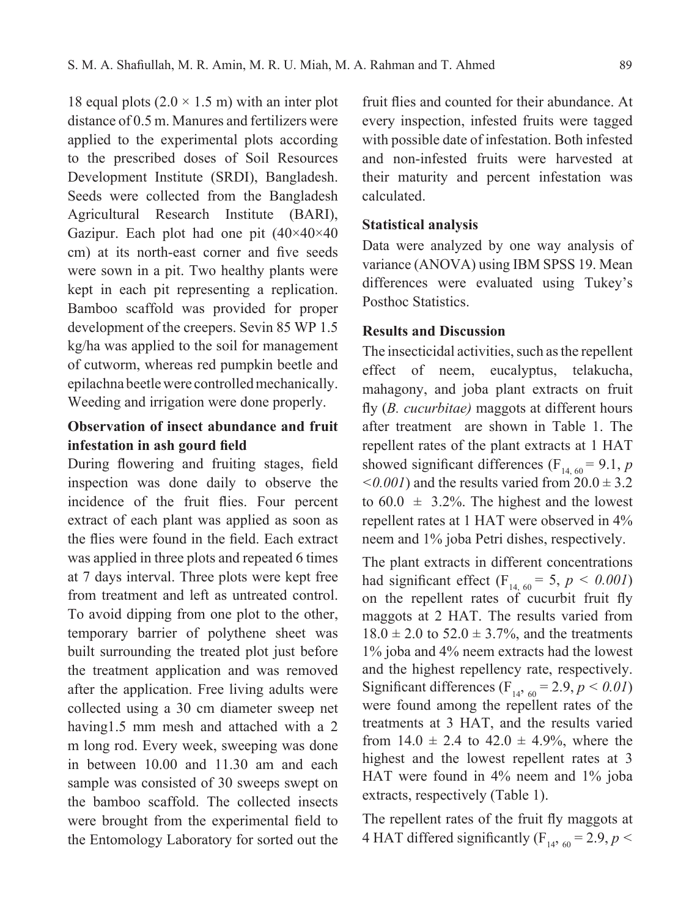18 equal plots  $(2.0 \times 1.5 \text{ m})$  with an inter plot distance of 0.5 m. Manures and fertilizers were applied to the experimental plots according to the prescribed doses of Soil Resources Development Institute (SRDI), Bangladesh. Seeds were collected from the Bangladesh Agricultural Research Institute (BARI), Gazipur. Each plot had one pit  $(40\times40\times40)$ cm) at its north-east corner and five seeds were sown in a pit. Two healthy plants were kept in each pit representing a replication. Bamboo scaffold was provided for proper development of the creepers. Sevin 85 WP 1.5 kg/ha was applied to the soil for management of cutworm, whereas red pumpkin beetle and epilachna beetle were controlled mechanically. Weeding and irrigation were done properly.

# **Observation of insect abundance and fruit infestation in ash gourd field**

During flowering and fruiting stages, field inspection was done daily to observe the incidence of the fruit flies. Four percent extract of each plant was applied as soon as the flies were found in the field. Each extract was applied in three plots and repeated 6 times at 7 days interval. Three plots were kept free from treatment and left as untreated control. To avoid dipping from one plot to the other, temporary barrier of polythene sheet was built surrounding the treated plot just before the treatment application and was removed after the application. Free living adults were collected using a 30 cm diameter sweep net having1.5 mm mesh and attached with a 2 m long rod. Every week, sweeping was done in between 10.00 and 11.30 am and each sample was consisted of 30 sweeps swept on the bamboo scaffold. The collected insects were brought from the experimental field to the Entomology Laboratory for sorted out the

fruit flies and counted for their abundance. At every inspection, infested fruits were tagged with possible date of infestation. Both infested and non-infested fruits were harvested at their maturity and percent infestation was calculated.

#### **Statistical analysis**

Data were analyzed by one way analysis of variance (ANOVA) using IBM SPSS 19. Mean differences were evaluated using Tukey's Posthoc Statistics.

### **Results and Discussion**

The insecticidal activities, such as the repellent effect of neem, eucalyptus, telakucha, mahagony, and joba plant extracts on fruit fly (*B. cucurbitae)* maggots at different hours after treatment are shown in Table 1. The repellent rates of the plant extracts at 1 HAT showed significant differences ( $F_{14, 60} = 9.1$ , *p*  $\leq 0.001$ ) and the results varied from  $20.0 \pm 3.2$ to  $60.0 \pm 3.2\%$ . The highest and the lowest repellent rates at 1 HAT were observed in 4% neem and 1% joba Petri dishes, respectively.

The plant extracts in different concentrations had significant effect (F<sub>14, 60</sub> = 5,  $p < 0.001$ ) on the repellent rates of cucurbit fruit fly maggots at 2 HAT. The results varied from  $18.0 \pm 2.0$  to  $52.0 \pm 3.7\%$ , and the treatments 1% joba and 4% neem extracts had the lowest and the highest repellency rate, respectively. Significant differences ( $F_{14, 60} = 2.9, p < 0.01$ ) were found among the repellent rates of the treatments at 3 HAT, and the results varied from  $14.0 \pm 2.4$  to  $42.0 \pm 4.9$ %, where the highest and the lowest repellent rates at 3 HAT were found in 4% neem and 1% joba extracts, respectively (Table 1).

The repellent rates of the fruit fly maggots at 4 HAT differed significantly ( $F_{14,60} = 2.9$ ,  $p <$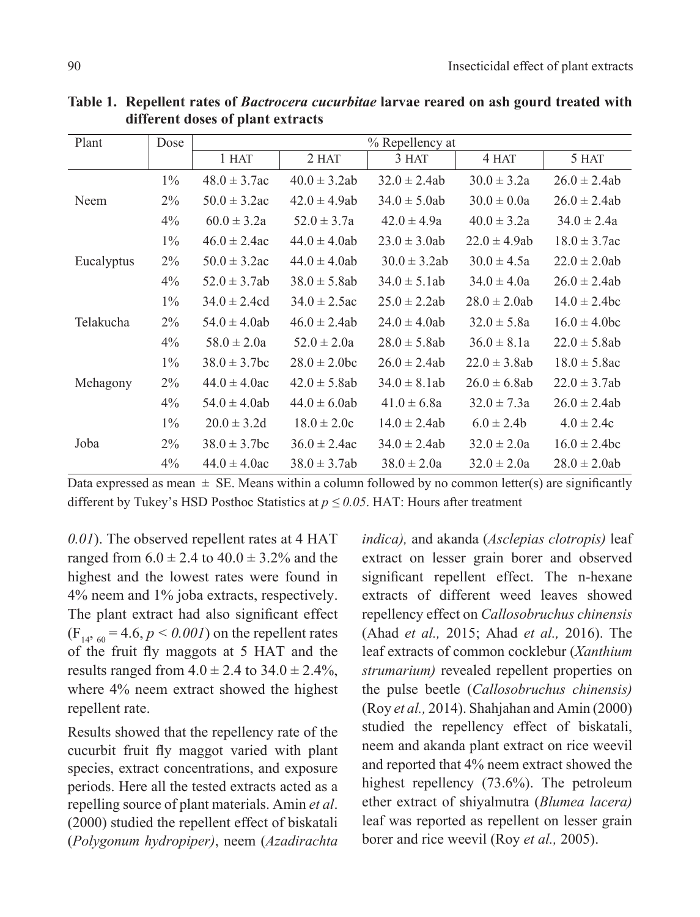| Plant      | Dose  | % Repellency at   |                   |                   |                   |                   |
|------------|-------|-------------------|-------------------|-------------------|-------------------|-------------------|
|            |       | 1 HAT             | 2 HAT             | 3 HAT             | 4 HAT             | 5 HAT             |
| Neem       | $1\%$ | $48.0 \pm 3.7$ ac | $40.0 \pm 3.2ab$  | $32.0 \pm 2.4ab$  | $30.0 \pm 3.2a$   | $26.0 \pm 2.4ab$  |
|            | $2\%$ | $50.0 \pm 3.2$ ac | $42.0 \pm 4.9$ ab | $34.0 \pm 5.0$ ab | $30.0 \pm 0.0a$   | $26.0 \pm 2.4ab$  |
|            | $4\%$ | $60.0 \pm 3.2a$   | $52.0 \pm 3.7a$   | $42.0 \pm 4.9a$   | $40.0 \pm 3.2a$   | $34.0 \pm 2.4a$   |
| Eucalyptus | $1\%$ | $46.0 \pm 2.4$ ac | $44.0 \pm 4.0$ ab | $23.0 \pm 3.0$ ab | $22.0 \pm 4.9$ ab | $18.0 \pm 3.7$ ac |
|            | $2\%$ | $50.0 \pm 3.2$ ac | $44.0 \pm 4.0$ ab | $30.0 \pm 3.2ab$  | $30.0 \pm 4.5a$   | $22.0 \pm 2.0$ ab |
|            | $4\%$ | $52.0 \pm 3.7ab$  | $38.0 \pm 5.8$ ab | $34.0 \pm 5.1$ ab | $34.0 \pm 4.0a$   | $26.0 \pm 2.4ab$  |
| Telakucha  | $1\%$ | $34.0 \pm 2.4$ cd | $34.0 \pm 2.5$ ac | $25.0 \pm 2.2ab$  | $28.0 \pm 2.0$ ab | $14.0 \pm 2.4$ bc |
|            | $2\%$ | $54.0 \pm 4.0$ ab | $46.0 \pm 2.4ab$  | $24.0 \pm 4.0$ ab | $32.0 \pm 5.8a$   | $16.0 \pm 4.0$ bc |
|            | $4\%$ | $58.0 \pm 2.0a$   | $52.0 \pm 2.0a$   | $28.0 \pm 5.8$ ab | $36.0 \pm 8.1a$   | $22.0 \pm 5.8$ ab |
| Mehagony   | $1\%$ | $38.0 \pm 3.7$ bc | $28.0 \pm 2.0$ bc | $26.0 \pm 2.4ab$  | $22.0 \pm 3.8$ ab | $18.0 \pm 5.8$ ac |
|            | $2\%$ | $44.0 \pm 4.0$ ac | $42.0 \pm 5.8ab$  | $34.0 \pm 8.1$ ab | $26.0 \pm 6.8$ ab | $22.0 \pm 3.7ab$  |
|            | $4\%$ | $54.0 \pm 4.0$ ab | $44.0 \pm 6.0$ ab | $41.0 \pm 6.8a$   | $32.0 \pm 7.3a$   | $26.0 \pm 2.4ab$  |
| Joba       | $1\%$ | $20.0 \pm 3.2d$   | $18.0 \pm 2.0c$   | $14.0 \pm 2.4ab$  | $6.0 \pm 2.4b$    | $4.0 \pm 2.4c$    |
|            | $2\%$ | $38.0 \pm 3.7$ bc | $36.0 \pm 2.4$ ac | $34.0 \pm 2.4ab$  | $32.0 \pm 2.0a$   | $16.0 \pm 2.4$ bc |
|            | $4\%$ | $44.0 \pm 4.0$ ac | $38.0 \pm 3.7ab$  | $38.0 \pm 2.0a$   | $32.0 \pm 2.0a$   | $28.0 \pm 2.0$ ab |

**Table 1. Repellent rates of** *Bactrocera cucurbitae* **larvae reared on ash gourd treated with different doses of plant extracts**

Data expressed as mean  $\pm$  SE. Means within a column followed by no common letter(s) are significantly different by Tukey's HSD Posthoc Statistics at  $p \le 0.05$ . HAT: Hours after treatment

*0.01*). The observed repellent rates at 4 HAT ranged from  $6.0 \pm 2.4$  to  $40.0 \pm 3.2$ % and the highest and the lowest rates were found in 4% neem and 1% joba extracts, respectively. The plant extract had also significant effect  $(F_{14, 60} = 4.6, p < 0.001)$  on the repellent rates of the fruit fly maggots at 5 HAT and the results ranged from  $4.0 \pm 2.4$  to  $34.0 \pm 2.4$ %, where 4% neem extract showed the highest repellent rate.

Results showed that the repellency rate of the cucurbit fruit fly maggot varied with plant species, extract concentrations, and exposure periods. Here all the tested extracts acted as a repelling source of plant materials. Amin *et al*. (2000) studied the repellent effect of biskatali (*Polygonum hydropiper)*, neem (*Azadirachta* 

*indica),* and akanda (*Asclepias clotropis)* leaf extract on lesser grain borer and observed significant repellent effect. The n-hexane extracts of different weed leaves showed repellency effect on *Callosobruchus chinensis*  (Ahad *et al.,* 2015; Ahad *et al.,* 2016). The leaf extracts of common cocklebur (*Xanthium strumarium)* revealed repellent properties on the pulse beetle (*Callosobruchus chinensis)* (Roy *et al.,* 2014). Shahjahan and Amin (2000) studied the repellency effect of biskatali, neem and akanda plant extract on rice weevil and reported that 4% neem extract showed the highest repellency (73.6%). The petroleum ether extract of shiyalmutra (*Blumea lacera)*  leaf was reported as repellent on lesser grain borer and rice weevil (Roy *et al.,* 2005).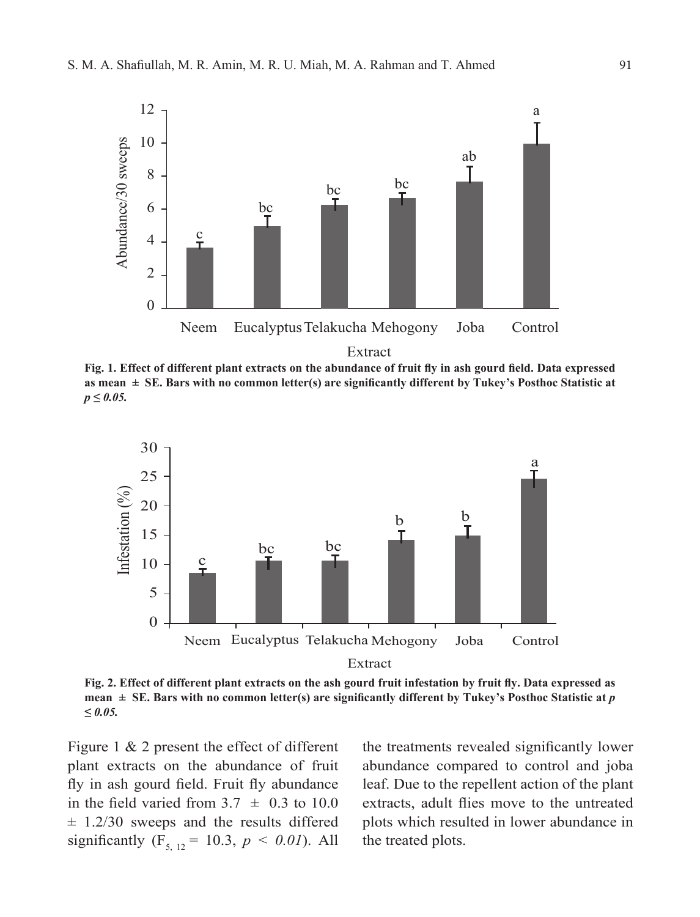

**Fig. 1. Effect of different plant extracts on the abundance of fruit fly in ash gourd field. Data expressed as mean ± SE. Bars with no common letter(s) are significantly different by Tukey's Posthoc Statistic at**  *p ≤ 0.05.*



**Fig. 2. Effect of different plant extracts on the ash gourd fruit infestation by fruit fly. Data expressed as mean**  $\pm$  **SE. Bars with no common letter(s) are significantly different by Tukey's Posthoc Statistic at** *p ≤ 0.05.*

Figure 1 & 2 present the effect of different plant extracts on the abundance of fruit fly in ash gourd field. Fruit fly abundance in the field varied from  $3.7 \pm 0.3$  to 10.0  $\pm$  1.2/30 sweeps and the results differed significantly ( $F_{5, 12} = 10.3$ ,  $p < 0.01$ ). All

the treatments revealed significantly lower abundance compared to control and joba leaf. Due to the repellent action of the plant extracts, adult flies move to the untreated plots which resulted in lower abundance in the treated plots.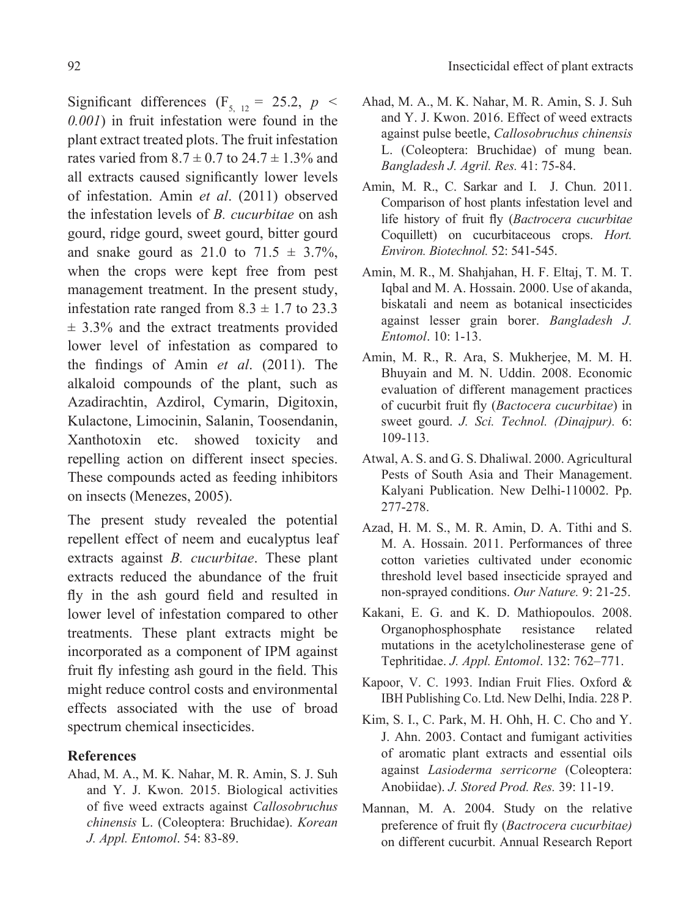Significant differences (F<sub>5, 12</sub> = 25.2, *p* < *0.001*) in fruit infestation were found in the plant extract treated plots. The fruit infestation rates varied from  $8.7 \pm 0.7$  to  $24.7 \pm 1.3$ % and all extracts caused significantly lower levels of infestation. Amin *et al*. (2011) observed the infestation levels of *B. cucurbitae* on ash gourd, ridge gourd, sweet gourd, bitter gourd and snake gourd as  $21.0$  to  $71.5 \pm 3.7\%$ , when the crops were kept free from pest management treatment. In the present study, infestation rate ranged from  $8.3 \pm 1.7$  to 23.3  $\pm$  3.3% and the extract treatments provided lower level of infestation as compared to the findings of Amin *et al*. (2011). The alkaloid compounds of the plant, such as Azadirachtin, Azdirol, Cymarin, Digitoxin, Kulactone, Limocinin, Salanin, Toosendanin, Xanthotoxin etc. showed toxicity and repelling action on different insect species. These compounds acted as feeding inhibitors on insects (Menezes, 2005).

The present study revealed the potential repellent effect of neem and eucalyptus leaf extracts against *B. cucurbitae*. These plant extracts reduced the abundance of the fruit fly in the ash gourd field and resulted in lower level of infestation compared to other treatments. These plant extracts might be incorporated as a component of IPM against fruit fly infesting ash gourd in the field. This might reduce control costs and environmental effects associated with the use of broad spectrum chemical insecticides.

#### **References**

Ahad, M. A., M. K. Nahar, M. R. Amin, S. J. Suh and Y. J. Kwon. 2015. Biological activities of five weed extracts against *Callosobruchus chinensis* L. (Coleoptera: Bruchidae). *Korean J. Appl. Entomol*. 54: 83-89.

- Ahad, M. A., M. K. Nahar, M. R. Amin, S. J. Suh and Y. J. Kwon. 2016. Effect of weed extracts against pulse beetle, *Callosobruchus chinensis* L. (Coleoptera: Bruchidae) of mung bean. *Bangladesh J. Agril. Res.* 41: 75-84.
- Amin, M. R., C. Sarkar and I. J. Chun. 2011. Comparison of host plants infestation level and life history of fruit fly (*Bactrocera cucurbitae*  Coquillett) on cucurbitaceous crops. *Hort. Environ. Biotechnol.* 52: 541-545.
- Amin, M. R., M. Shahjahan, H. F. Eltaj, T. M. T. Iqbal and M. A. Hossain. 2000. Use of akanda, biskatali and neem as botanical insecticides against lesser grain borer. *Bangladesh J. Entomol*. 10: 1-13.
- Amin, M. R., R. Ara, S. Mukherjee, M. M. H. Bhuyain and M. N. Uddin. 2008. Economic evaluation of different management practices of cucurbit fruit fly (*Bactocera cucurbitae*) in sweet gourd. *J. Sci. Technol. (Dinajpur).* 6: 109-113.
- Atwal, A. S. and G. S. Dhaliwal. 2000. Agricultural Pests of South Asia and Their Management. Kalyani Publication. New Delhi-110002. Pp. 277-278.
- Azad, H. M. S., M. R. Amin, D. A. Tithi and S. M. A. Hossain. 2011. Performances of three cotton varieties cultivated under economic threshold level based insecticide sprayed and non-sprayed conditions. *Our Nature.* 9: 21-25.
- Kakani, E. G. and K. D. Mathiopoulos. 2008. Organophosphosphate resistance related mutations in the acetylcholinesterase gene of Tephritidae. *J. Appl. Entomol*. 132: 762–771.
- Kapoor, V. C. 1993. Indian Fruit Flies. Oxford & IBH Publishing Co. Ltd. New Delhi, India. 228 P.
- Kim, S. I., C. Park, M. H. Ohh, H. C. Cho and Y. J. Ahn. 2003. Contact and fumigant activities of aromatic plant extracts and essential oils against *Lasioderma serricorne* (Coleoptera: Anobiidae). *J. Stored Prod. Res.* 39: 11-19.
- Mannan, M. A. 2004. Study on the relative preference of fruit fly (*Bactrocera cucurbitae)* on different cucurbit. Annual Research Report